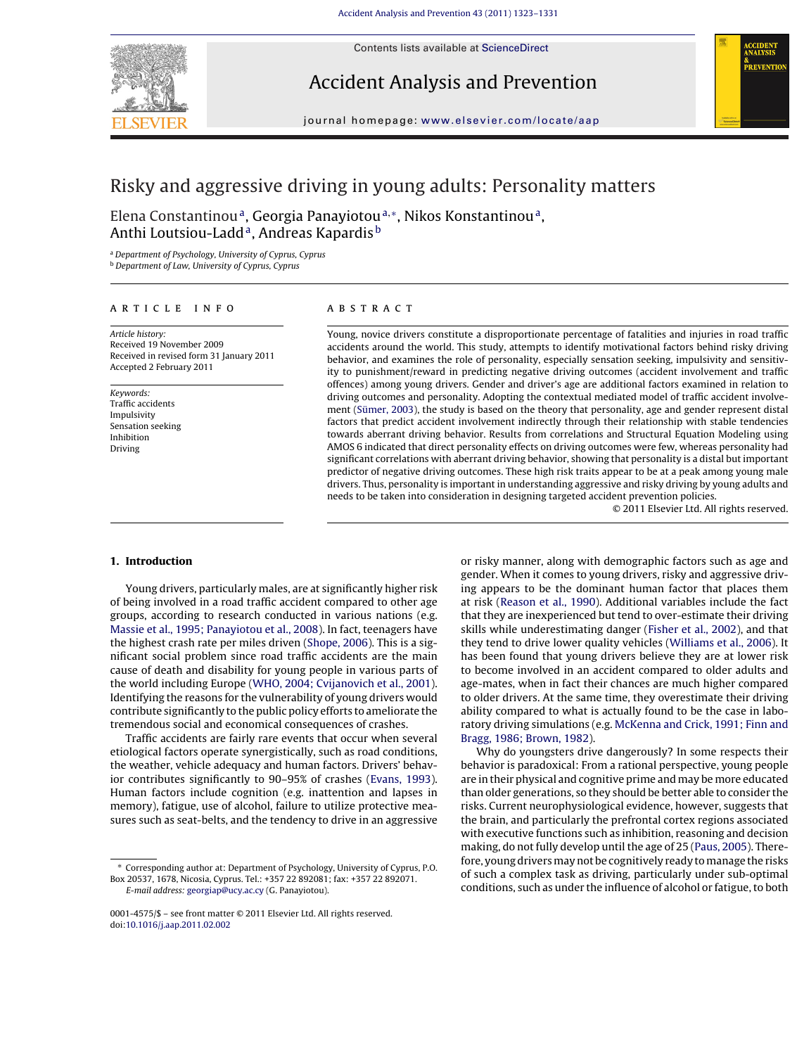Accident Analysis and Prevention 43 (2011) 1323–1331



Contents lists available at ScienceDirect

# Accident Anal[ysis](http://www.sciencedirect.com/science/journal/00014575) [and](http://www.sciencedirect.com/science/journal/00014575) [P](http://www.sciencedirect.com/science/journal/00014575)revention

journal homepage: www.elsevier.com/locate/aap



# Risky and aggressive driving in young adults: Personality matters

Elena Constantinou<sup>a</sup>, Georgia Panayiotou<sup>a,∗</sup>, Nikos Konstantinou<sup>a</sup>, Anthi Loutsiou-Ladd<sup>a</sup>, Andreas Kapardis<sup>b</sup>

<sup>a</sup> Department of Psychology, University of Cyprus, Cyprus **b** Department of Law, University of Cyprus, Cyprus

#### article info

Article history: Received 19 November 2009 Received in revised form 31 January 2011 Accepted 2 February 2011

Keywords: Traffic accidents Impulsivity Sensation seeking Inhibition Driving

## **ABSTRACT**

Young, novice drivers constitute a disproportionate percentage of fatalities and injuries in road traffic accidents around the world. This study, attempts to identify motivational factors behind risky driving behavior, and examines the role of personality, especially sensation seeking, impulsivity and sensitivity to punishment/reward in predicting negative driving outcomes (accident involvement and traffic offences) among young drivers. Gender and driver's age are additional factors examined in relation to driving outcomes and personality. Adopting the contextual mediated model of traffic accident involvement (Sümer, 2003), the study is based on the theory that personality, age and gender represent distal factors that predict accident involvement indirectly through their relationship with stable tendencie towards aberrant driving behavior. Results from correlations and Structural Equation Modeling using AMOS 6 indicated that direct personality effects on driving outcomes were few, whereas personality had [significant c](#page-8-0)orrelations with aberrant driving behavior, showing that personality is a distal but important predictor of negative driving outcomes. These high risk traits appear to be at a peak among young male drivers. Thus, personality is important in understanding aggressive and risky driving by young adults and needs to be taken into consideration in designing targeted accident prevention policies.

© 2011 Elsevier Ltd. All rights reserved.

#### 1. Introduction

Young drivers, particularly males, are at significantly higher risk of being involved in a road traffic accident compared to other age groups, according to research conducted in various nations (e.g. Massie et al., 1995; Panayiotou et al., 2008). In fact, teenagers have the highest crash rate per miles driven (Shope, 2006). This is a significant social problem since road traffic accidents are the main cause of death and disability for young people in various parts of [the](#page-8-0) [world](#page-8-0) [including](#page-8-0) [Europe](#page-8-0) [\(WHO,](#page-8-0) 2004; Cvijanovich et al., 2001). Identifying the reasons for the [vulnerability](#page-8-0) [of](#page-8-0) young drivers would contribute significantly to the public policy efforts to ameliorate the tremendous social and economical consequences of crashes.

Traffic accidents [are](#page-8-0) [fairly](#page-8-0) [rare](#page-8-0) [events](#page-8-0) [that](#page-8-0) [occur](#page-8-0) [when](#page-8-0) several etiological factors operate synergistically, such as road conditions, the weather, vehicle adequacy and human factors. Drivers' behavior contributes significantly to 90–95% of crashes (Evans, 1993). Human factors include cognition (e.g. inattention and laps[es](#page-8-0) [in](#page-8-0) memory), fatigue, use of alcohol, failure to utilize protective measures such as seat-belts, and the tendency t[o](#page-7-0) [drive](#page-7-0) [in an ag](#page-7-0)gressive

or risky manner, along with demographic factors such as age and gender. When it comes to young drivers, risky and aggressive driving appears to be the dominant human factor that places them at risk (Reason et al., 1990). Additional variables include the fac that they are inexperienced but tend to over-estimate their driving skills while underestimating danger (Fisher et al., 2002), and that they tend to drive lower quality vehicles (Williams et al., 2006). I [has](#page-8-0) [been](#page-8-0) [found](#page-8-0) [that](#page-8-0) young drivers believe they are at lower risk to become involved in an accident compared to older adults and age-mates, when in fact thei[r](#page-7-0) [chances](#page-7-0) [are](#page-7-0) [much](#page-7-0) higher compared to older drivers. At the same tim[e,](#page-8-0) [they](#page-8-0) [overestimate](#page-8-0) [th](#page-8-0)eir driving ability compared to what is actually found to be the case in laboratory driving simulations (e.g. McKenna and Crick, 1991; Finn and Bragg, 1986; Brown, 1982).

Why do youngsters drive dangerously? In some respects their behavior is paradoxical: From a rational perspective, young people are in their physical an[d](#page-8-0) [cognitive](#page-8-0) [prime](#page-8-0) [and](#page-8-0) [may](#page-8-0) [be](#page-8-0) [more](#page-8-0) [ed](#page-8-0)ucated [than](#page-8-0) [older](#page-8-0) [generati](#page-8-0)ons, so they should be better able to consider the risks. Current neurophysiological evidence, however, suggests that the brain, and particularly the prefrontal cortex regions associated with executive functions such as inhibition, reasoning and decision making, do not fully develop until the age of 25 (Paus, 2005). Therefore, young drivers may not be cognitively ready to manage the risk of such a complex task as driving, particularly under sub-optimal conditions, such as under the influence [of alcohol or](#page-8-0) fatigue, to both

<sup>∗</sup> Corresponding author at: Department of Psychology, University of Cyprus, P.O. Box 20537, 1678, Nicosia, Cyprus. Tel.: +357 22 892081; fax: +357 22 892071. E-mail address: georgiap@ucy.ac.cy (G. Panayiotou).

<sup>0001-4575/\$ –</sup> see front matter © 2011 Elsevier Ltd. All rights reserved. doi:10.1016/j.aap.2011.02.002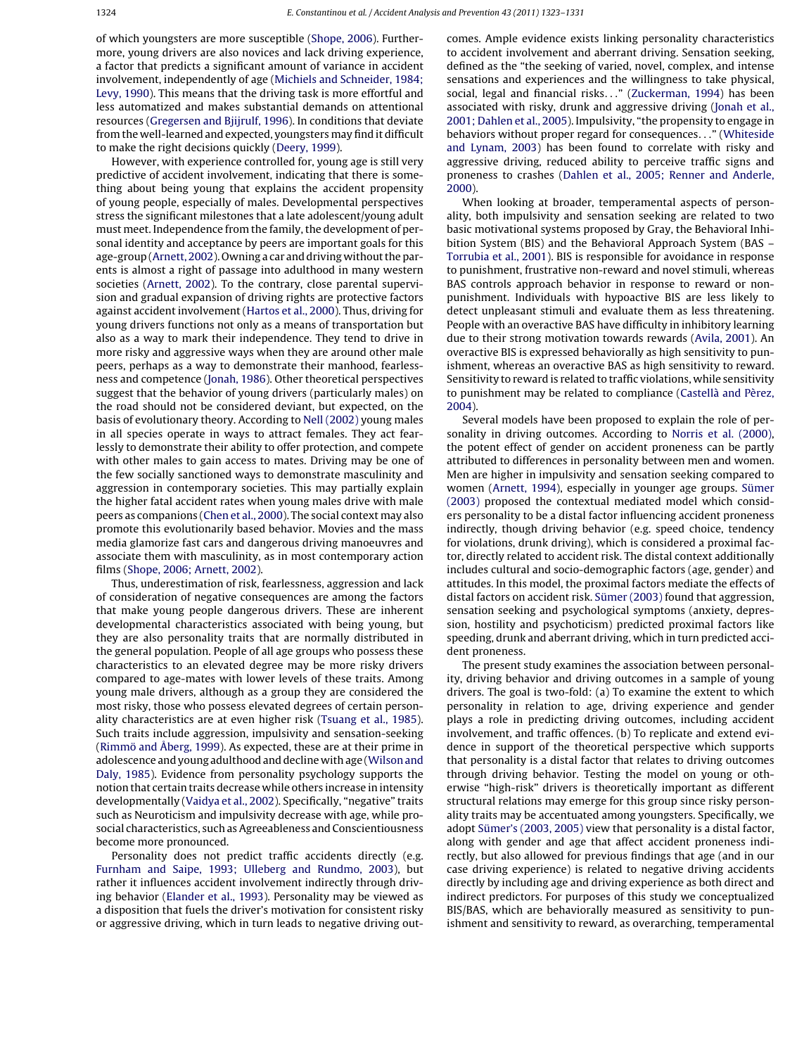of which youngsters are more susceptible (Shope, 2006). Furthermore, young drivers are also novices and lack driving experience, a factor that predicts a significant amount of variance in accident involvement, independently of age (Michiels and Schneider, 1984; Levy, 1990). This means that the d[riving](#page-8-0) [task](#page-8-0) [is](#page-8-0) [m](#page-8-0)ore effortful and less automatized and makes substantial demands on attentional resources (Gregersen and Bjijrulf, 1996). In conditions that deviate from the well-learned and e[xpected,](#page-8-0) [youngsters](#page-8-0) [may](#page-8-0) [find](#page-8-0) [it](#page-8-0) [d](#page-8-0)ifficult [to](#page-8-0) [m](#page-8-0)ake the right decisions quickly (Deery, 1999).

However, with experience controlled for, young age is still very p[redictive](#page-7-0) [of](#page-7-0) [accident](#page-7-0) [involvem](#page-7-0)ent, indicating that there is s[ome](#page-8-0)thing about being young that explains the accident propensity of young people, especially [of](#page-7-0) [males.](#page-7-0) [Dev](#page-7-0)elopmental perspec[tives](#page-8-0) stress the significant milestones that a late adolescent/young adult must meet. Independence from the family, the development of personal identity and acceptance by peers are important goals for [this](#page-7-0) age-group (Arnett, 2002). Owning a car and driving without the parents is almost a right of passage into adulthood in many western societies (Arnett, 2002). To the contrary, close parental supervision and gradual expansion of driving rights are protective factors ag[ainst](#page-7-0) [accident](#page-7-0) involvement (Hartos et al., 2000). Thus, drivin[g](#page-8-0) [for](#page-8-0) young drivers functions not only as a means of transportation but a[lso](#page-7-0) [as](#page-7-0) [a](#page-7-0) [way](#page-7-0) [to](#page-7-0) mark their independence. They tend to drive in more risky and aggressive ways when they are around other male peers, perhaps as a [way](#page-8-0) [to](#page-8-0) [demonstrate](#page-8-0) their manhood, fearlessness and competence (Jonah, 1986). Other theoretical perspectives suggest that the behavior of young drivers (particularly males) on the road should not be considered deviant, but expected, on the basis of evolutionary theory. According to Nell (2002) young males in all species [operate](#page-8-0) [in](#page-8-0) [w](#page-8-0)ays to attract females. They act fearlessly to demonstrate their ability to offer protection, and compete with other males to gain access to mates. Driving may be o[ne](#page-7-0) [of](#page-7-0) the few socially sanctioned way[s](#page-8-0) [to](#page-8-0) [demonstr](#page-8-0)ate masculinity and aggression in contemporary societies. This may partially explain the higher fatal accident rates when young males drive with male peers as companions (Chen et al., 2000). The social context may also promote this evolutionarily based behavior. Movies and the mass media glamorize fast cars and dangerous driving manoeuvres and associate them with masculinity, as in most contemporary a[ction](#page-8-0) films (Shope[,](#page-7-0) [2006;](#page-7-0) [Arnett,](#page-7-0) [200](#page-7-0)2).

Thus, underestimation of risk, fearlessness, aggression and lack of consideration of negative consequences are among the factors that make young people dangerous drivers. These are inherent [developmental](#page-8-0) [character](#page-8-0)istics associated with being young, but they are also personality traits that are normally distributed in the general population. People of all age groups who possess these characteristics to an elevated degree may be more risky drivers compared to age-mates with lower levels of these traits. Among young male drivers, although as a group they are considered the most risky, those who possess elevated degrees of certain personality characteristics are at even higher risk (Tsuang et al., 1985). Such traits include aggression, impulsivity and sensation-seeking (Rimmö and Åberg, 1999). As expected, these are at their prime in adolescence and young adulthood and decline with age (Wilson and Daly, 1985). Evidence from person[ality](#page-8-0) [psychology](#page-8-0) [supp](#page-8-0)orts the notion that certain traits decrease while others increase in intensity [developmentally](#page-8-0) [\(](#page-8-0)Vaidya et al., 2002). Specifically, "negative" traits such as Neuroticism and impulsivity decrease [with](#page-8-0) [age,](#page-8-0) [wh](#page-8-0)ile pro[soci](#page-8-0)al characteristics, such as Agreeableness and Conscientiousness become more pronounced.

Perso[nality](#page-8-0) [does](#page-8-0) [not](#page-8-0) [pr](#page-8-0)edict traffic accidents directly (e.g. Furnham and Saipe, 1993; Ulleberg and Rundmo, 2003), but rather it influences accident involvement indirectly through driving behavior (Elander et al., 1993). Personality may be viewed as a disposition that fuels the driver's motivation for consistent risky [or](#page-7-0) [aggressive](#page-7-0) [driving,](#page-7-0) [which](#page-7-0) [in](#page-7-0) [turn](#page-7-0) [leads](#page-7-0) [to](#page-7-0) [negative](#page-7-0) driving outcomes. Ample evidence exists linking personality characteristics to accident involvement and aberrant driving. Sensation seeking, defined as the "the seeking of varied, novel, complex, and intense sensations and experiences and the willingness to take physical, social, legal and financial risks..." (Zuckerman, 1994) has been associated with risky, drunk and aggressive driving (Jonah et al., 2001; Dahlen et al., 2005). Impulsivity, "the propensity to engage in behaviors without proper regard for consequences..." (Whiteside and Lynam, 2003) has bee[n](#page-8-0) [found](#page-8-0) [to](#page-8-0) [correlat](#page-8-0)e with risky and aggressive driving, reduced ability to perc[eive](#page-8-0) [traffic](#page-8-0) [sig](#page-8-0)ns and [proneness](#page-8-0) [to](#page-8-0) [cra](#page-8-0)shes (Dahlen et al., 2005; R[enner and A](#page-8-0)nderle, 2000).

[When](#page-8-0) [lo](#page-8-0)oking at broader, temperamental aspects of personality, both impulsivity and sensation seeking are related to two basic motivati[onal](#page-7-0) [systems](#page-7-0) [proposed](#page-7-0) [by](#page-7-0) [Gray,](#page-7-0) [the](#page-7-0) [Behavior](#page-7-0)al Inhibition System (BIS) and the Behavioral Approach System (BAS – Torrubia et al., 2001). BIS is responsible for avoidance in response to punishment, frustrative non-reward and novel stimuli, whereas BAS controls approach behavior in response to reward or nonpunishment. Individuals with hypoactive BIS are less likely to [detect](#page-8-0) [unple](#page-8-0)asant stimuli and evaluate them as less threatening. People with an overactive BAS have difficulty in inhibitory learning due to their strong motivation towards rewards (Avila, 2001). An overactive BIS is expressed behaviorally as high sensitivity to punishment, whereas an overactive BAS as high sensitivity to reward. Sensitivity to reward is related to traffic violations, while sensitivity to punishment may be related to compli[ance](#page-7-0) [\(Castellà](#page-7-0) and Pèrez, 2004).

Several models have been proposed to explain the role of personality in driving outcomes. According to Norris et al. (2000), the potent effect of gender on accide[nt](#page-7-0) [proneness](#page-7-0) [can](#page-7-0) [be](#page-7-0) partly attributed to differences in personality between men and women. Men are higher in impulsivity and sensation seeking compared to women (Arnett, 1994), especially i[n](#page-8-0) [younger](#page-8-0) [age](#page-8-0) [groups](#page-8-0). Sümer (2003) proposed the contextual mediated model which considers personality to be a distal factor influencing accident proneness indirectly, though driving behavior (e.g. speed choice, tendency [for](#page-7-0) [violations,](#page-7-0) [d](#page-7-0)runk driving), which is considered [a](#page-8-0) [proxim](#page-8-0)al factor, directly related to accident risk. The distal context additionally includes cultural and socio-demographic factors (age, gender) and attitudes. In this model, the proximal factors mediate the effects of distal factors on accident risk. Sümer (2003) found that aggression, sensation seeking and psychological symptoms (anxiety, depression, hostility and psychoticism) predicted proximal factors like speeding, drunk and [aberrant driving](#page-8-0), which in turn predicted accident proneness.

The present study examines the association between personality, driving behavior and driving outcomes in a sample of young drivers. The goal is two-fold: (a) To examine the extent to which personality in relation to age, driving experience and gender plays a role in predicting driving outcomes, including accident involvement, and traffic offences. (b) To replicate and extend evidence in support of the theoretical perspective which supports that personality is a distal factor that relates to driving outcomes through driving behavior. Testing the model on young or otherwise "high-risk" drivers is theoretically important as different structural relations may emerge for this group since risky personality traits may be accentuated among youngsters. Specifically, we adopt Sümer's (2003, 2005) view that personality is a distal factor, along with gender and age that affect accident proneness indirectly, but also allowed for previous findings that age (and in our case driving experience) is related to negative driving accidents [directly](#page-8-0) [by](#page-8-0) [including](#page-8-0) age and driving experience as both direct and indirect predictors. For purposes of this study we conceptualized BIS/BAS, which are behaviorally measured as sensitivity to punishment and sensitivity to reward, as overarching, temperamental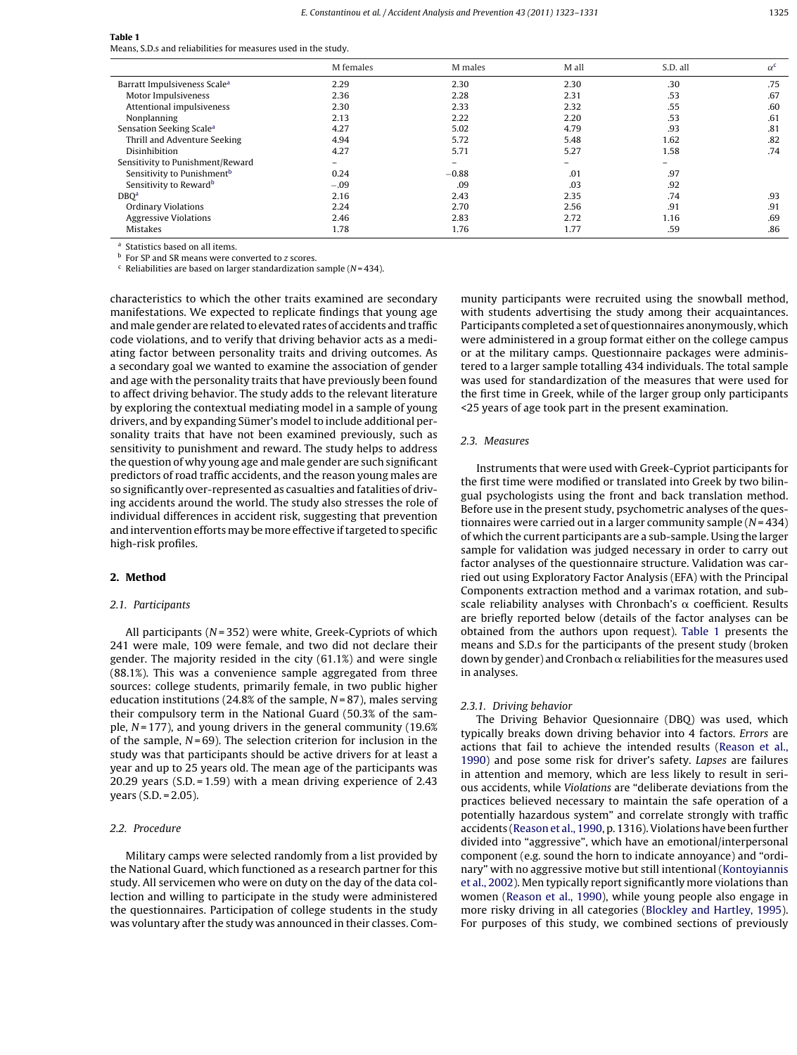|--|--|

Means, S.D.s and reliabilities for measures used in the study.

|                                          | M females | M males | M all | S.D. all | $\alpha^c$ |
|------------------------------------------|-----------|---------|-------|----------|------------|
| Barratt Impulsiveness Scale <sup>a</sup> | 2.29      | 2.30    | 2.30  | .30      | .75        |
| Motor Impulsiveness                      | 2.36      | 2.28    | 2.31  | .53      | .67        |
| Attentional impulsiveness                | 2.30      | 2.33    | 2.32  | .55      | .60        |
| Nonplanning                              | 2.13      | 2.22    | 2.20  | .53      | .61        |
| Sensation Seeking Scale <sup>a</sup>     | 4.27      | 5.02    | 4.79  | .93      | .81        |
| Thrill and Adventure Seeking             | 4.94      | 5.72    | 5.48  | 1.62     | .82        |
| Disinhibition                            | 4.27      | 5.71    | 5.27  | 1.58     | .74        |
| Sensitivity to Punishment/Reward         |           |         |       |          |            |
| Sensitivity to Punishment <sup>b</sup>   | 0.24      | $-0.88$ | .01   | .97      |            |
| Sensitivity to Reward <sup>b</sup>       | $-.09$    | .09     | .03   | .92      |            |
| DBQ <sup>a</sup>                         | 2.16      | 2.43    | 2.35  | .74      | .93        |
| <b>Ordinary Violations</b>               | 2.24      | 2.70    | 2.56  | .91      | .91        |
| <b>Aggressive Violations</b>             | 2.46      | 2.83    | 2.72  | 1.16     | .69        |
| <b>Mistakes</b>                          | 1.78      | 1.76    | 1.77  | .59      | .86        |

Statistics based on all items

 $<sup>b</sup>$  For SP and SR means were converted to  $z$  scores.</sup>

 $c$  Reliabilities are based on larger standardization sample ( $N = 434$ ).

characteristics to which the other traits examined are secondary manifestations. We expected to replicate findings that young age andmale gender are related to elevated rates of accidents and traffic code violations, and to verify that driving behavior acts as a mediating factor between personality traits and driving outcomes. As a secondary goal we wanted to examine the association of gender and age with the personality traits that have previously been found to affect driving behavior. The study adds to the relevant literature by exploring the contextual mediating model in a sample of young drivers, and by expanding Sümer's model to include additional personality traits that have not been examined previously, such as sensitivity to punishment and reward. The study helps to address the question of why young age and male gender are such significant predictors of road traffic accidents, and the reason young males are so significantly over-represented as casualties and fatalities of driving accidents around the world. The study also stresses the role of individual differences in accident risk, suggesting that prevention and intervention efforts may be more effective if targeted to specific high-risk profiles.

#### 2. Method

#### 2.1. Participants

All participants ( $N = 352$ ) were white, Greek-Cypriots of which 241 were male, 109 were female, and two did not declare their gender. The majority resided in the city (61.1%) and were single (88.1%). This was a convenience sample aggregated from three sources: college students, primarily female, in two public higher education institutions (24.8% of the sample,  $N = 87$ ), males serving their compulsory term in the National Guard (50.3% of the sample,  $N = 177$ ), and young drivers in the general community (19.6%) of the sample,  $N = 69$ ). The selection criterion for inclusion in the study was that participants should be active drivers for at least a year and up to 25 years old. The mean age of the participants was 20.29 years (S.D. = 1.59) with a mean driving experience of 2.43 years (S.D. = 2.05).

### 2.2. Procedure

Military camps were selected randomly from a list provided by the National Guard, which functioned as a research partner for this study. All servicemen who were on duty on the day of the data collection and willing to participate in the study were administered the questionnaires. Participation of college students in the study was voluntary after the study was announced in their classes. C[om-](#page-8-0) munity participants were recruited using the snowball method, with students advertising the study among their acquaintances. Participants completed a set of questionnaires anonymously, which were administered in a group format either on the college campus or at the military camps. Questionnaire packages were administered to a larger sample totalling 434 individuals. The total sample was used for standardization of the measures that were used for the first time in Greek, while of the larger group only participants <25 years of age took part in the present examination.

### 2.3. Measures

Instruments that were used with Greek-Cypriot participants for the first time were modified or translated into Greek by two bilingual psychologists using the front and back translation method. Before use in the present study, psychometric analyses of the questionnaires were carried out in a larger community sample  $(N = 434)$ of which the current participants are a sub-sample. Using the large sample for validation was judged necessary in order to carry ou factor analyses of the questionnaire structure. Validation was carried out using Exploratory Factor Analysis (EFA) with the Principal Components extraction method and a varimax rotation, and subscale reliability analyses with Chronbach's  $\alpha$  coefficient. Results are briefly reported below (details of the factor analyses can be obtained from the authors upon request). Table 1 presents the means and S.D.s for the participants of the present study (broken down by gender) and Cronbach  $\alpha$  reliabilities for the measures used in analyses.

#### 2.3.1. Driving behavior

The Driving Behavior Quesionnaire (DBQ) was used, which typically breaks down driving behavior into 4 factors. Errors are actions that fail to achieve the intended results (Reason et al., 1990) and pose some risk for driver's safety. Lapses are failures in attention and memory, which are less likely to result in serious accidents, while Violations are "deliberate deviations from the practices believed necessary to maintain t[he](#page-8-0) [safe](#page-8-0) [operati](#page-8-0)on of a potentially hazardous system" and correlate strongly with traffic accidents (Reason et al., 1990, p. 1316). Violations have been further divided into "aggressive", which have an emotional/interpersonal component (e.g. sound the horn to indicate annoyance) and "ordinary" with no aggressive motive but still intentional (Kontoyiannis e[t](#page-8-0) [al.,](#page-8-0) [2002\).](#page-8-0) [Men](#page-8-0) [typi](#page-8-0)cally report significantly more violations than women (Reason et al., 1990), while young people also engage in more risky driving in all categories (Blockley and Hartley, 1995) [For](#page-8-0) purposes of this study, we combined [sections](#page-8-0) [of](#page-8-0) [pre](#page-8-0)viously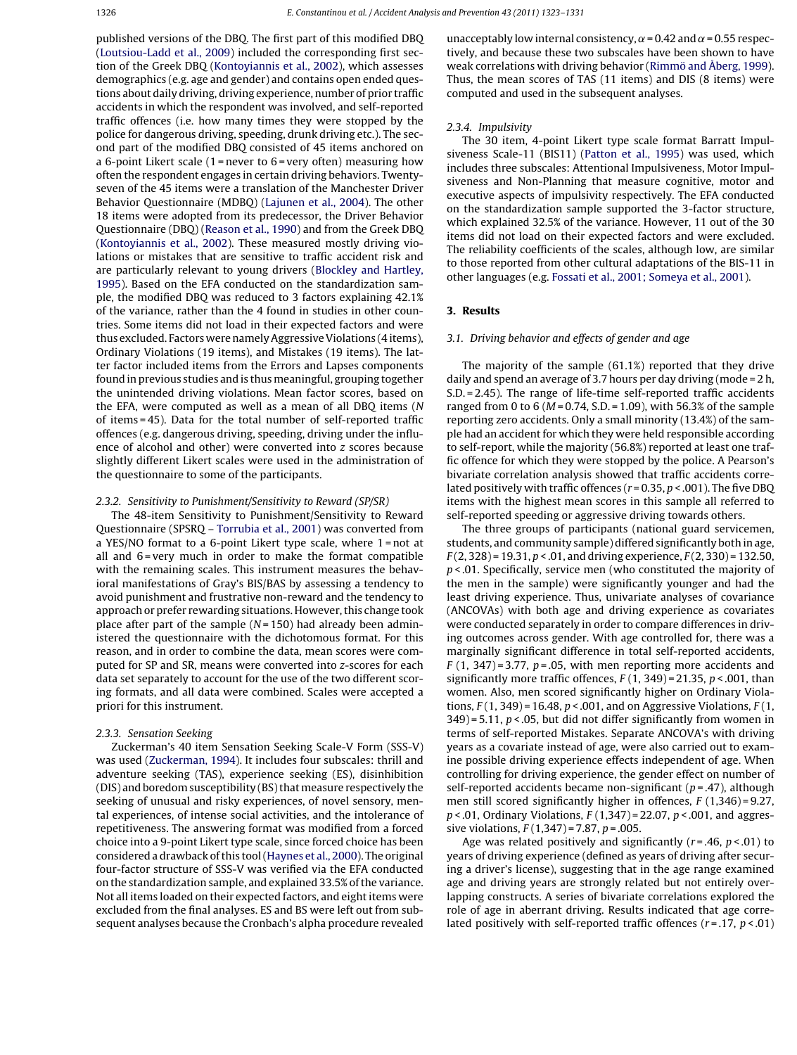published versions of the DBQ. The first part of this modified DBQ (Loutsiou-Ladd et al., 2009) included the corresponding first section of the Greek DBQ (Kontoyiannis et al., 2002), which assesses demographics (e.g. age and gender) and contains open ended questions about daily driving, driving experience, number of prior traffic [accidents](#page-8-0) [in](#page-8-0) [which](#page-8-0) [t](#page-8-0)he respondent was involved, and self-reported traffic offence[s](#page-8-0) [\(i.e.](#page-8-0) [how](#page-8-0) [many](#page-8-0) [times](#page-8-0) [the](#page-8-0)y were stopped by the police for dangerous driving, speeding, drunk driving etc.). The second part of the modified DBQ consisted of 45 items anchored on a 6-point Likert scale  $(1 =$  never to 6 = very often) measuring how often the respondent engages in certain driving behaviors. Twentyseven of the 45 items were a translation of the Manchester Driver Behavior Questionnaire (MDBQ) (Lajunen et al., 2004). The other 18 items were adopted from its predecessor, the Driver Behavior Questionnaire (DBQ) (Reason et al., 1990) and from the Greek DBQ (Kontoyiannis et al., 2002). These measured mostly driving violations or mistakes that [are](#page-8-0) [sensitive](#page-8-0) [to](#page-8-0) [traffic](#page-8-0) accident risk and are particularly relevant to young drivers (Blockley and Hartley, 1995). Based [on](#page-8-0) [the](#page-8-0) [EFA](#page-8-0) [conduc](#page-8-0)ted on the standardization sam[ple,](#page-8-0) [the](#page-8-0) [modified](#page-8-0) [D](#page-8-0)BQ was reduced to 3 factors explaining 42.1% of the variance, rather than the 4 found in studies in other countries. Some items did not load in t[heir](#page-7-0) [expected](#page-7-0) [factors](#page-7-0) [an](#page-7-0)d were thus excluded. Factors were namely Aggressive Violations (4 items), Ordinary Violations (19 items), and Mistakes (19 items). The latter factor included items from the Errors and Lapses components found in previous studies and is thus meaningful, grouping together the unintended driving violations. Mean factor scores, based on the EFA, were computed as well as a mean of all DBQ items (N of items = 45). Data for the total number of self-reported traffic offences (e.g. dangerous driving, speeding, driving under the influence of alcohol and other) were converted into z scores because slightly different Likert scales were used in the administration of the questionnaire to some of the participants.

# 2.3.2. Sensitivity to Punishment/Sensitivity to Reward (SP/SR)

The 48-item Sensitivity to Punishment/Sensitivity to Reward Questionnaire (SPSRQ – Torrubia et al., 2001) was converted from a YES/NO format to a 6-point Likert type scale, where 1 = not at all and 6 = very much in order to make the format compatible with the remaining scales. This instrument measures the behavioral manifesta[tions](#page-8-0) [of](#page-8-0) [Gray's](#page-8-0) [BIS/BAS](#page-8-0) by assessing a tendency to avoid punishment and frustrative non-reward and the tendency to approach or prefer rewarding situations. However, this change took place after part of the sample  $(N = 150)$  had already been administered the questionnaire with the dichotomous format. For this reason, and in order to combine the data, mean scores were computed for SP and SR, means were converted into z-scores for each data set separately to account for the use of the two different scoring formats, and all data were combined. Scales were accepted a priori for this instrument.

# 2.3.3. Sensation Seeking

Zuckerman's 40 item Sensation Seeking Scale-V Form (SSS-V) was used (Zuckerman, 1994). It includes four subscales: thrill and adventure seeking (TAS), experience seeking (ES), disinhibition (DIS) and boredom susceptibility (BS) that measure respectively the seeking of unusual and risky experiences, of novel sensory, menta[l](#page-8-0) [experiences,](#page-8-0) [of](#page-8-0) [in](#page-8-0)tense social activities, and the intolerance of repetitiveness. The answering format was modified from a forced choice into a 9-point Likert type scale, since forced choice has been considered a drawback of this tool (Haynes et al., 2000). The original four-factor structure of SSS-V was verified via the EFA conducted on the standardization sample, and explained 33.5% of the variance. Not all items loaded on their expected factors, and eight items were excluded from the final a[nalyses.](#page-8-0) [ES](#page-8-0) [and](#page-8-0) [BS](#page-8-0) [we](#page-8-0)re left out from subsequent analyses because the Cronbach's alpha procedure revealed unacceptably low internal consistency,  $\alpha$  = 0.42 and  $\alpha$  = 0.55 respectively, and because these two subscales have been shown to have weak correlations with driving behavior (Rimmö and Åberg, 1999). Thus, the mean scores of TAS (11 items) and DIS (8 items) were computed and used in the subsequent analyses.

# 2.3.4. Impulsivity

The 30 item, 4-point Likert type scale format Barratt Impulsiveness Scale-11 (BIS11) (Patton et al., 1995) was used, which includes three subscales: Attentional Impulsiveness, Motor Impulsiveness and Non-Planning that measure cognitive, motor and executive aspects of impulsivity respectively. The EFA conducted on the standardiz[ation](#page-8-0) [sample](#page-8-0) [support](#page-8-0)ed the 3-factor structure, which explained 32.5% of the variance. However, 11 out of the 30 items did not load on their expected factors and were excluded. The reliability coefficients of the scales, although low, are similar to those reported from other cultural adaptations of the BIS-11 in other languages (e.g. Fossati et al., 2001; Someya et al., 2001).

# 3. Results

# 3.1. Driving behavior and effects of gender and age

The majority of the sample (61.1%) reported that they drive daily and spend an average of 3.7 hours per day driving (mode = 2 h, S.D. = 2.45). The range of life-time self-reported traffic accidents ranged from 0 to 6 ( $M = 0.74$ , S.D. = 1.09), with 56.3% of the sample reporting zero accidents. Only a small minority (13.4%) of the sample had an accident for which they were held responsible according to self-report, while the majority (56.8%) reported at least one traffic offence for which they were stopped by the police. A Pearson's bivariate correlation analysis showed that traffic accidents correlated positively with traffic offences ( $r = 0.35$ ,  $p < .001$ ). The five DBQ items with the highest mean scores in this sample all referred to self-reported speeding or aggressive driving towards others.

The three groups of participants (national guard servicemen, students, and community sample) differed significantly both in age,  $F(2, 328)$  = 19.31,  $p < 0.01$ , and driving experience,  $F(2, 330)$  = 132.50,  $p$  < .01. Specifically, service men (who constituted the majority of the men in the sample) were significantly younger and had the least driving experience. Thus, univariate analyses of covariance (ANCOVAs) with both age and driving experience as covariates were conducted separately in order to compare differences in driving outcomes across gender. With age controlled for, there was a marginally significant difference in total self-reported accidents,  $F(1, 347) = 3.77$ ,  $p = .05$ , with men reporting more accidents and significantly more traffic offences,  $F(1, 349) = 21.35$ ,  $p < .001$ , than women. Also, men scored significantly higher on Ordinary Violations,  $F(1, 349)$  = 16.48,  $p < .001$ , and on Aggressive Violations,  $F(1, 16)$  $349$ ) = 5.11,  $p < .05$ , but did not differ significantly from women in terms of self-reported Mistakes. Separate ANCOVA's with driving years as a covariate instead of age, were also carried out to examine possible driving experience effects independent of age. When controlling for driving experience, the gender effect on number of self-reported accidents became non-significant  $(p = .47)$ , although men still scored significantly higher in offences,  $F(1,346) = 9.27$ ,  $p < .01$ , Ordinary Violations,  $F(1,347) = 22.07$ ,  $p < .001$ , and aggressive violations,  $F(1,347) = 7.87$ ,  $p = .005$ .

Age was related positively and significantly ( $r = .46$ ,  $p < .01$ ) to years of driving experience (defined as years of driving after securing a driver's license), suggesting that in the age range examined age and driving years are strongly related but not entirely overlapping constructs. A series of bivariate correlations explored the role of age in aberrant driving. Results indicated that age correlated positively with self-reported traffic offences  $(r = .17, p < .01)$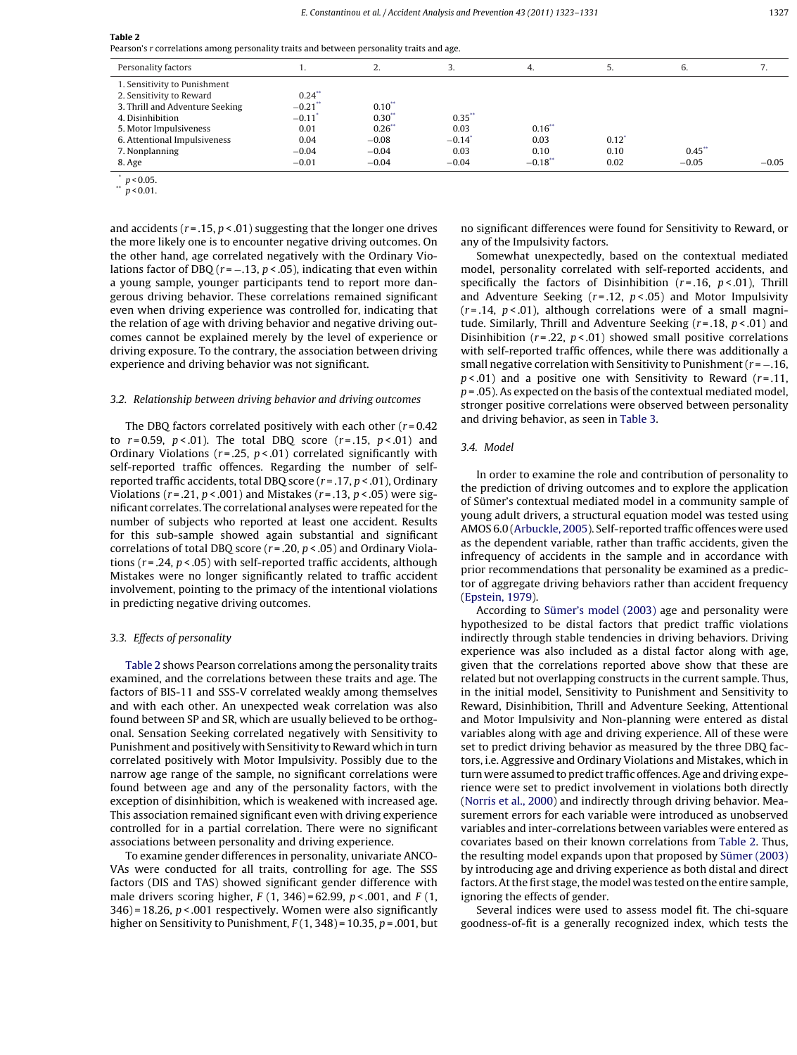#### Table 2

Pearson's r correlations among personality traits and between personality traits and age.

| Personality factors                                                                                                                                                                                   |                                                                               |                                                                   |                                                              | 4.                                                 | 5.                       | 6.                  |         |
|-------------------------------------------------------------------------------------------------------------------------------------------------------------------------------------------------------|-------------------------------------------------------------------------------|-------------------------------------------------------------------|--------------------------------------------------------------|----------------------------------------------------|--------------------------|---------------------|---------|
| 1. Sensitivity to Punishment<br>2. Sensitivity to Reward<br>3. Thrill and Adventure Seeking<br>4. Disinhibition<br>5. Motor Impulsiveness<br>6. Attentional Impulsiveness<br>7. Nonplanning<br>8. Age | 0.24<br>$-0.21$<br>$-0.11$ <sup>*</sup><br>0.01<br>0.04<br>$-0.04$<br>$-0.01$ | $0.10^{**}$<br>$0.30$ **<br>0.26<br>$-0.08$<br>$-0.04$<br>$-0.04$ | $0.35$ **<br>0.03<br>$-0.14$ <sup>*</sup><br>0.03<br>$-0.04$ | $0.16$ **<br>0.03<br>0.10<br>$-0.18$ <sup>**</sup> | $0.12^*$<br>0.10<br>0.02 | $0.45^*$<br>$-0.05$ | $-0.05$ |
|                                                                                                                                                                                                       |                                                                               |                                                                   |                                                              |                                                    |                          |                     |         |

 $p < 0.05$ .

 $p < 0.01$ .

and accidents ( $r = .15$ ,  $p < .01$ ) suggesting that the longer one drives the more likely one is to encounter negative driving outcomes. On the other hand, age correlated negatively with the Ordinary Violations factor of DBQ ( $r = -.13$ ,  $p < .05$ ), indicating that even within a young sample, younger participants tend to report more dangerous driving behavior. These correlations remained significant even when driving experience was controlled for, indicating that the relation of age with driving behavior and negative driving outcomes cannot be explained merely by the level of experience or driving exposure. To the contrary, the association between driving experience and driving behavior was not significant.

### 3.2. Relationship between driving behavior and driving outcomes

The DBQ factors correlated positively with each other  $(r = 0.42)$ to  $r = 0.59$ ,  $p < .01$ ). The total DBQ score  $(r = .15, p < .01)$  and Ordinary Violations ( $r = 0.25$ ,  $p < 0.01$ ) correlated significantly with self-reported traffic offences. Regarding the number of selfreported traffic accidents, total DBQ score  $(r = .17, p < .01)$ , Ordinary Violations ( $r = 0.21$ ,  $p < 0.001$ ) and Mistakes ( $r = 0.13$ ,  $p < 0.05$ ) were significant correlates. The correlational analyses were repeated for the number of subjects who reported at least one accident. Results for this sub-sample showed again substantial and significant correlations of total DBQ score ( $r = 0.20$ ,  $p < 0.05$ ) and Ordinary Violations ( $r = 0.24$ ,  $p < 0.05$ ) with self-reported traffic accidents, although Mistakes were no longer significantly related to traffic accident involvement, pointing to the primacy of the intentional violations in predicting negative driving outcomes.

### 3.3. Effects of personality

Table 2 shows Pearson correlations among the personality traits examined, and the correlations between these traits and age. The factors of BIS-11 and SSS-V correlated weakly among themselves and with each other. An unexpected weak correlation was also found between SP and SR, which are usually believed to be orthogonal. Sensation Seeking correlated negatively with Sensitivity to Punishment and positively with Sensitivity to Reward which in turn correlated positively with Motor Impulsivity. Possibly due to the narrow age range of the sample, no significant correlations were found between age and any of the personality factors, with the exception of disinhibition, which is weakened with increased age. This association remained significant even with driving experience controlled for in a partial correlation. There were no significant associations between personality and driving experience.

To examine gender differences in personality, univariate AN[CO-](#page-8-0)VAs were conducted for all traits, controlling for age. The SSS factors (DIS and TAS) showed significant gender difference with male drivers scoring higher,  $F(1, 346) = 62.99$ ,  $p < .001$ , and  $F(1, 1)$ 346) = 18.26,  $p < .001$  respectively. Women were also significantly higher on Sensitivity to Punishment,  $F(1, 348) = 10.35$ ,  $p = .001$ , but no significant differences were found for Sensitivity to Reward, or any of the Impulsivity factors.

Somewhat unexpectedly, based on the contextual mediated model, personality correlated with self-reported accidents, and specifically the factors of Disinhibition ( $r = .16$ ,  $p < .01$ ), Thril and Adventure Seeking ( $r = .12$ ,  $p < .05$ ) and Motor Impulsivity  $(r = .14, p < .01)$ , although correlations were of a small magnitude. Similarly, Thrill and Adventure Seeking  $(r=.18, p < .01)$  and Disinhibition ( $r = 0.22$ ,  $p < 0.01$ ) showed small positive correlations with self-reported traffic offences, while there was additionally a small negative correlation with Sensitivity to Punishment ( $r = -16$ ,  $p$  < 01) and a positive one with Sensitivity to Reward ( $r = 11$ )  $p = 0.05$ ). As expected on the basis of the contextual mediated model stronger positive correlations were observed between personality and driving behavior, as seen in Table 3.

## 3.4. Model

In order to examine [the](#page-5-0) [role](#page-5-0) and contribution of personality to the prediction of driving outcomes and to explore the application of Sümer's contextual mediated model in a community sample of young adult drivers, a structural equation model was tested using AMOS 6.0 (Arbuckle, 2005). Self-reported traffic offences were used as the dependent variable, rather than traffic accidents, given the infrequency of accidents in the sample and in accordance with prior recommendations that personality be examined as a predict[or](#page-7-0) [of](#page-7-0) [aggregate](#page-7-0) [dr](#page-7-0)iving behaviors rather than accident frequency (Epstein, 1979).

According to Sümer's model (2003) age and personality were hypothesized to be distal factors that predict traffic violations indirectly through stable tendencies in driving behaviors. Driving [experie](#page-7-0)nce was also included as a distal factor along with age given t[hat](#page-8-0) [the](#page-8-0) [correlations](#page-8-0) [rep](#page-8-0)orted above show that these are related but not overlapping constructs in the current sample. Thus, in the initial model, Sensitivity to Punishment and Sensitivity to Reward, Disinhibition, Thrill and Adventure Seeking, Attentional and Motor Impulsivity and Non-planning were entered as dista variables along with age and driving experience. All of these were set to predict driving behavior as measured by the three DBQ factors, i.e. Aggressive and Ordinary Violations and Mistakes, which in turn were assumed to predict traffic offences. Age and driving experience were set to predict involvement in violations both directly (Norris et al., 2000) and indirectly through driving behavior. Measurement errors for each variable were introduced as unobserved variables and inter-correlations between variables were entered as covariates based on their known correlations from Table 2. Thus, [the](#page-8-0) [resultin](#page-8-0)g model expands upon that proposed by Sümer (2003) by introducing age and driving experience as both distal and direction factors. At the first stage, the model was tested on the entire sample, ignoring the effects of gender.

Several indices were used to assess mo[del](#page-8-0) [fit.](#page-8-0) [The](#page-8-0) [chi-](#page-8-0)square goodness-of-fit is a generally recognized index, which tests the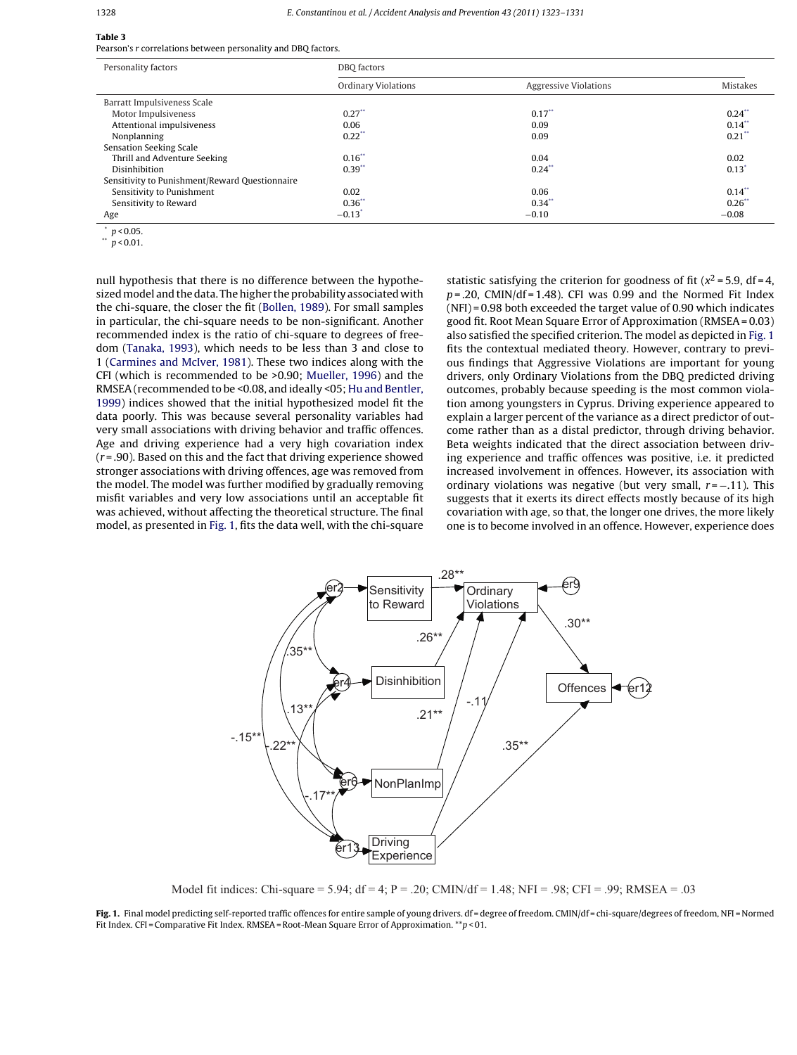# <span id="page-5-0"></span>Table 3

Pearson's r correlations between personality and DBQ factors.

| Personality factors                            | DBQ factors                |                              |                      |  |  |  |
|------------------------------------------------|----------------------------|------------------------------|----------------------|--|--|--|
|                                                | <b>Ordinary Violations</b> | <b>Aggressive Violations</b> | <b>Mistakes</b>      |  |  |  |
| Barratt Impulsiveness Scale                    |                            |                              |                      |  |  |  |
| Motor Impulsiveness                            | $0.27$ **                  | $0.17$ **                    | $0.24$ <sup>**</sup> |  |  |  |
| Attentional impulsiveness                      | 0.06                       | 0.09                         | $0.14$ <sup>**</sup> |  |  |  |
| Nonplanning                                    | $0.22$ **                  | 0.09                         | $0.21$ **            |  |  |  |
| Sensation Seeking Scale                        |                            |                              |                      |  |  |  |
| Thrill and Adventure Seeking                   | $0.16$ **                  | 0.04                         | 0.02                 |  |  |  |
| Disinhibition                                  | $0.39$ **                  | $0.24*$                      | $0.13$ <sup>*</sup>  |  |  |  |
| Sensitivity to Punishment/Reward Questionnaire |                            |                              |                      |  |  |  |
| Sensitivity to Punishment                      | 0.02                       | 0.06                         | $0.14^{*}$           |  |  |  |
| Sensitivity to Reward                          | $0.36$ **                  | 0.34                         | 0.26                 |  |  |  |
| Age                                            | $-0.13$ <sup>*</sup>       | $-0.10$                      | $-0.08$              |  |  |  |

 $p < 0.05$ .

null hypothesis that there is no difference between the hypothesizedmodel and the data. The higher the probability associated with the chi-square, the closer the fit (Bollen, 1989). For small samples in particular, the chi-square needs to be non-significant. Another recommended index is the ratio of chi-square to degrees of freedom (Tanaka, 1993), which needs to be less than 3 and close to 1 (Carmines and McIver, [1981\).](#page-7-0) [These](#page-7-0) two indices along with the CFI (which is recommended to be >0.90; Mueller, 1996) and the RMSEA (recommended to be <0.08, and ideally <05; Hu and Bentler, [1999\)](#page-8-0) [indice](#page-8-0)s showed that the initial hypothesized model fit the [data](#page-7-0) [poorly.](#page-7-0) [This](#page-7-0) [was](#page-7-0) because several personality variables had very small associations with drivi[ng](#page-8-0) [behavior](#page-8-0) [and](#page-8-0) traffic offences. Age and driving experience had a very [high](#page-8-0) [covariation](#page-8-0) index  $(r = .90)$ . Based on this and the fact that driving experience showed stronger associations with driving offences, age was removed from the model. The model was further modified by gradually removing misfit variables and very low associations until an acceptable fit was achieved, without affecting the theoretical structure. The final model, as presented in Fig. 1, fits the data well, with the chi-square

statistic satisfying the criterion for goodness of fit ( $x^2$  = 5.9, df = 4,  $p = 0.20$ , CMIN/df = 1.48). CFI was 0.99 and the Normed Fit Index (NFI) = 0.98 both exceeded the target value of 0.90 which indicates good fit. Root Mean Square Error of Approximation (RMSEA = 0.03) also satisfied the specified criterion. The model as depicted in Fig. 1 fits the contextual mediated theory. However, contrary to previous findings that Aggressive Violations are important for young drivers, only Ordinary Violations from the DBQ predicted driving outcomes, probably because speeding is the most common violation among youngsters in Cyprus. Driving experience appeared to explain a larger percent of the variance as a direct predictor of outcome rather than as a distal predictor, through driving behavior. Beta weights indicated that the direct association between driving experience and traffic offences was positive, i.e. it predicted increased involvement in offences. However, its association with ordinary violations was negative (but very small,  $r = -0.11$ ). This suggests that it exerts its direct effects mostly because of its high covariation with age, so that, the longer one drives, the more likely one is to become involved in an offence. However, experience does



Model fit indices: Chi-square = 5.94; df = 4; P = .20; CMIN/df = 1.48; NFI = .98; CFI = .99; RMSEA = .03

Fig. 1. Final model predicting self-reported traffic offences for entire sample of young drivers. df = degree of freedom. CMIN/df = chi-square/degrees of freedom, NFI = Normed Fit Index. CFI = Comparative Fit Index. RMSEA = Root-Mean Square Error of Approximation. \*\*p < 01.

<sup>\*\*</sup>  $p$  < 0.01.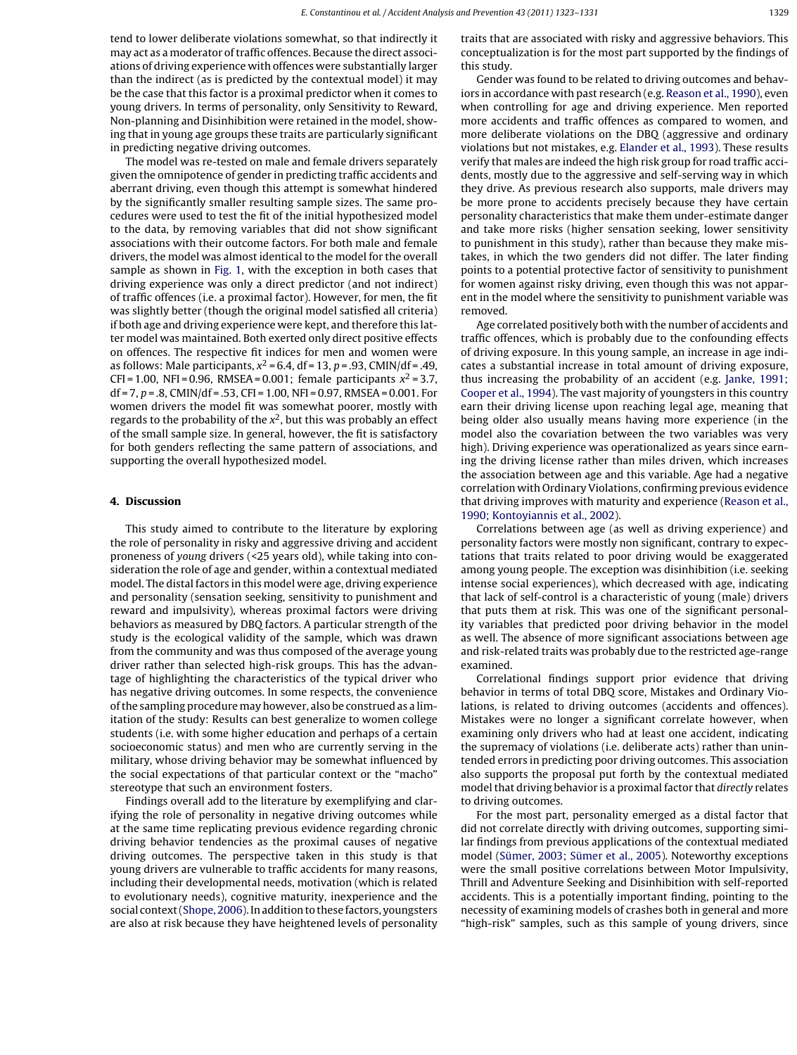tend to lower deliberate violations somewhat, so that indirectly it may act as a moderator of traffic offences. Because the direct associations of driving experience with offences were substantially larger than the indirect (as is predicted by the contextual model) it may be the case that this factor is a proximal predictor when it comes to young drivers. In terms of personality, only Sensitivity to Reward, Non-planning and Disinhibition were retained in the model, showing that in young age groups these traits are particularly significant in predicting negative driving outcomes.

The model was re-tested on male and female drivers separately given the omnipotence of gender in predicting traffic accidents and aberrant driving, even though this attempt is somewhat hindered by the significantly smaller resulting sample sizes. The same procedures were used to test the fit of the initial hypothesized model to the data, by removing variables that did not show significant associations with their outcome factors. For both male and female drivers, the model was almost identical to the model for the overall sample as shown in Fig. 1, with the exception in both cases that driving experience was only a direct predictor (and not indirect) of traffic offences (i.e. a proximal factor). However, for men, the fit was slightly better (though the original model satisfied all criteria) if both age a[nd](#page-5-0) [drivi](#page-5-0)ng experience were kept, and therefore this latter model was maintained. Both exerted only direct positive effects on offences. The respective fit indices for men and women were as follows: Male participants,  $x^2 = 6.4$ , df = 13, p = .93, CMIN/df = .49, CFI = 1.00, NFI = 0.96, RMSEA = 0.001; female participants  $x^2$  = 3.7,  $df = 7$ ,  $p = .8$ , CMIN/df = .53, CFI = 1.00, NFI = 0.97, RMSEA = 0.001. For women drivers the model fit was somewhat poorer, mostly with regards to the probability of the  $x^2$ , but this was probably an effect of the small sample size. In general, however, the fit is satisfactory for both genders reflecting the same pattern of associations, [and](#page-8-0) supporting the overall hypothesized model.

### 4. Discussion

This study aimed to contribute to the literature by exploring the role of personality in risky and aggressive driving and accident proneness of young drivers (<25 years old), while taking into consideration the role of age and gender, within a contextual medi[ated](#page-8-0) model. The distal factors in this model were age, driving experience and personality (sensation seeking, sensitivity to punishment and reward and impulsivity), whereas proximal factors were driving behaviors as measured by DBQ factors. A particular strength of the study is the ecological validity of the sample, which was drawn from the community and was thus composed of the average young driver rather than selected high-risk groups. This has the advantage of highlighting the characteristics of the typical driver who has negative driving outcomes. In some respects, the convenience of the sampling procedure may however, also be construed as a limitation of the study: Results can best generalize to women college students (i.e. with some higher education and perhaps of a certain socioeconomic status) and men who are currently serving in the military, whose driving behavior may be somewhat influenced by the social expectations of that particular context or the "macho" stereotype that such an environment fosters.

Findings overall add to the literature by exemplifying and clarifying the role of personality in negative driving outcomes while at the same time replicating previous evidence regarding chronic driving behavior tendencies as the proximal causes of negative driving outcomes. The perspective taken in this study is that young drivers are vulnerable to traffic accidents for many reasons, including their developmental needs, motivation (which is related to evolutionary needs), cognitive maturity, inexperience and the social context (Shope, 2006). In addition to these factors, youngsters are also at risk because they have heightened levels of personality traits that are associated with risky and aggressive behaviors. This conceptualization is for the most part supported by the findings o this study.

Gender was found to be related to driving outcomes and behaviors in accordance with past research (e.g. Reason et al., 1990), ever when controlling for age and driving experience. Men reported more accidents and traffic offences as compared to women, and more deliberate violations on the DBQ (aggressive and ordinary violations but not mistakes, e.g. [Elander](#page-8-0) [et](#page-8-0) [al.,](#page-8-0) [1993\).](#page-8-0) These results verify that males are indeed the high risk group for road traffic accidents, mostly due to the aggressive and self-serving way in which they drive. As previous research also supports, male drivers may be more prone to acci[dents](#page-7-0) [precisely](#page-7-0) [beca](#page-7-0)use they have certain personality characteristics that make them under-estimate dange and take more risks (higher sensation seeking, lower sensitivity to punishment in this study), rather than because they make mistakes, in which the two genders did not differ. The later finding points to a potential protective factor of sensitivity to punishmen for women against risky driving, even though this was not apparent in the model where the sensitivity to punishment variable was removed.

Age correlated positively both with the number of accidents and traffic offences, which is probably due to the confounding effects of driving exposure. In this young sample, an increase in age indicates a substantial increase in total amount of driving exposure thus increasing the probability of an accident (e.g. Janke, 1991; Cooper et al., 1994). The vast majority of youngsters in this country earn their driving license upon reaching legal age, meaning that being older also usually means having more experience (in the model also the covariation between the t[wo](#page-8-0) [variables](#page-8-0) [w](#page-8-0)as very [high\).](#page-8-0) [Drivi](#page-8-0)ng experience was operationalized as years since earning the driving license rather than miles driven, which increases the association between age and this variable. Age had a negative correlation with Ordinary Violations, confirming previous evidence that driving improves with maturity and experience (Reason et al., 1990; Kontoyiannis et al., 2002).

Correlations between age (as well as driving experience) and personality factors were mostly non significant, contrary to expectations that traits related to poor driving [would](#page-8-0) [be](#page-8-0) [exagg](#page-8-0)erated [among](#page-8-0) [young](#page-8-0) [people.](#page-8-0) [Th](#page-8-0)e exception was disinhibition (i.e. seeking intense social experiences), which decreased with age, indicating that lack of self-control is a characteristic of young (male) drivers that puts them at risk. This was one of the significant personality variables that predicted poor driving behavior in the mode as well. The absence of more significant associations between age and risk-related traits was probably due to the restricted age-range examined.

Correlational findings support prior evidence that driving behavior in terms of total DBQ score, Mistakes and Ordinary Violations, is related to driving outcomes (accidents and offences). Mistakes were no longer a significant correlate however, when examining only drivers who had at least one accident, indicating the supremacy of violations (i.e. deliberate acts) rather than unintended errors in predicting poor driving outcomes. This association also supports the proposal put forth by the contextual mediated model that driving behavior is a proximal factor that directly relates to driving outcomes.

For the most part, personality emerged as a distal factor tha did not correlate directly with driving outcomes, supporting similar findings from previous applications of the contextual mediated model (Sümer, 2003; Sümer et al., 2005). Noteworthy exceptions were the small positive correlations between Motor Impulsivity, Thrill and Adventure Seeking and Disinhibition with self-reported accidents. This is a potentially important finding, pointing to the [necessity](#page-8-0) [of](#page-8-0) [examining](#page-8-0) [models](#page-8-0) [of](#page-8-0) crashes both in general and more "high-risk" samples, such as this sample of young drivers, since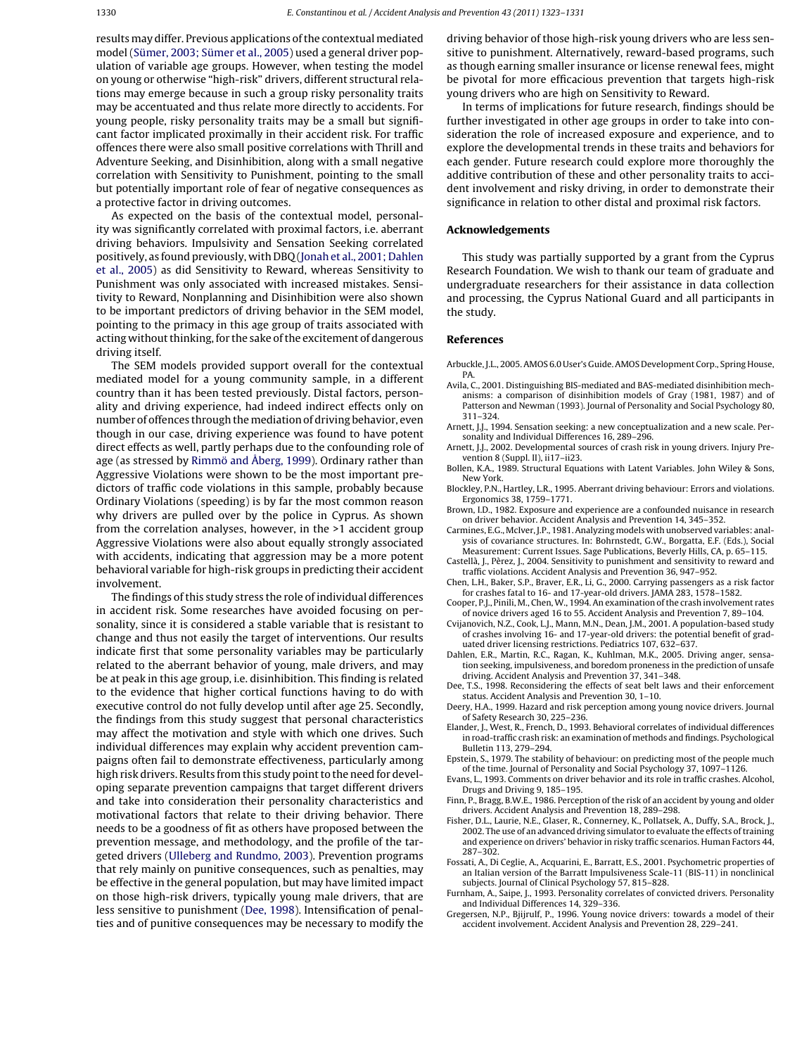<span id="page-7-0"></span>results may differ. Previous applications of the contextual mediated model (Sümer, 2003; Sümer et al., 2005) used a general driver population of variable age groups. However, when testing the model on young or otherwise "high-risk" drivers, different structural relations may emerge because in such a group risky personality traits [may](#page-8-0) [be](#page-8-0) [accentuated](#page-8-0) [and](#page-8-0) [thus](#page-8-0) [re](#page-8-0)late more directly to accidents. For young people, risky personality traits may be a small but significant factor implicated proximally in their accident risk. For traffic offences there were also small positive correlations with Thrill and Adventure Seeking, and Disinhibition, along with a small negative correlation with Sensitivity to Punishment, pointing to the small but potentially important role of fear of negative consequences as a protective factor in driving outcomes.

As expected on the basis of the contextual model, personality was significantly correlated with proximal factors, i.e. aberrant driving behaviors. Impulsivity and Sensation Seeking correlated positively, as found previously, with DBQ (Jonah et al., 2001; Dahlen et al., 2005) as did Sensitivity to Reward, whereas Sensitivity to Punishment was only associated with increased mistakes. Sensitivity to Reward, Nonplanning and Disinhibition were also shown to be important predictors of dr[iving](#page-8-0) [behavior](#page-8-0) [in](#page-8-0) [the](#page-8-0) [SEM](#page-8-0) model, [poin](#page-8-0)ting to the primacy in this age group of traits associated with acting without thinking, for the sake of the excitement of dangerous driving itself.

The SEM models provided support overall for the contextual mediated model for a young community sample, in a different country than it has been tested previously. Distal factors, personality and driving experience, had indeed indirect effects only on number of offences through the mediation of driving behavior, even though in our case, driving experience was found to have potent direct effects as well, partly perhaps due to the confounding role of age (as stressed by Rimmö and Åberg, 1999). Ordinary rather than Aggressive Violations were shown to be the most important predictors of traffic code violations in this sample, probably because Ordinary Violations (s[peeding\)](#page-8-0) is by far the most common reason why driv[ers](#page-8-0) [are](#page-8-0) [pulled](#page-8-0) over [by](#page-8-0) [the](#page-8-0) police in Cyprus. As shown from the correlation analyses, however, in the >1 accident group Aggressive Violations were also about equally strongly associated with accidents, indicating that aggression may be a more potent behavioral variable for high-risk groups in predicting their accident involvement.

The findings of this study stress the role of individual differences in accident risk. Some researches have avoided focusing on personality, since it is considered a stable variable that is resistant to change and thus not easily the target of interventions. Our results indicate first that some personality variables may be particularly related to the aberrant behavior of young, male drivers, and may be at peak in this age group, i.e. disinhibition. This finding is related to the evidence that higher cortical functions having to do with executive control do not fully develop until after age 25. Secondly, the findings from this study suggest that personal characteristics may affect the motivation and style with which one drives. Such individual differences may explain why accident prevention campaigns often fail to demonstrate effectiveness, particularly among high risk drivers. Results from this study point to the need for developing separate prevention campaigns that target different drivers and take into consideration their personality characteristics and motivational factors that relate to their driving behavior. There needs to be a goodness of fit as others have proposed between the prevention message, and methodology, and the profile of the targeted drivers (Ulleberg and Rundmo, 2003). Prevention programs that rely mainly on punitive consequences, such as penalties, may be effective in the general population, but may have limited impact on those high-risk drivers, typically young male drivers, that are less s[ensitive](#page-8-0) [to](#page-8-0) [punishment](#page-8-0) [\(Dee,](#page-8-0) [1](#page-8-0)998). Intensification of penalties and of punitive consequences may be necessary to modify the driving behavior of those high-risk young drivers who are less sensitive to punishment. Alternatively, reward-based programs, such as though earning smaller insurance or license renewal fees, might be pivotal for more efficacious prevention that targets high-risk young drivers who are high on Sensitivity to Reward.

In terms of implications for future research, findings should be further investigated in other age groups in order to take into consideration the role of increased exposure and experience, and to explore the developmental trends in these traits and behaviors for each gender. Future research could explore more thoroughly the additive contribution of these and other personality traits to accident involvement and risky driving, in order to demonstrate their significance in relation to other distal and proximal risk factors.

# Acknowledgements

This study was partially supported by a grant from the Cyprus Research Foundation. We wish to thank our team of graduate and undergraduate researchers for their assistance in data collection and processing, the Cyprus National Guard and all participants in the study.

# References

Arbuckle, J.L., 2005. AMOS 6.0 User's Guide. AMOS Development Corp., Spring House, PA.

- Avila, C., 2001. Distinguishing BIS-mediated and BAS-mediated disinhibition mechanisms: a comparison of disinhibition models of Gray (1981, 1987) and of Patterson and Newman (1993). Journal of Personality and Social Psychology 80, 311–324.
- Arnett, J.J., 1994. Sensation seeking: a new conceptualization and a new scale. Personality and Individual Differences 16, 289–296.
- Arnett, J.J., 2002. Developmental sources of crash risk in young drivers. Injury Prevention 8 (Suppl. II), ii17-ii23.
- Bollen, K.A., 1989. Structural Equations with Latent Variables. John Wiley & Sons, New York.
- Blockley, P.N., Hartley, L.R., 1995. Aberrant driving behaviour: Errors and violations. Ergonomics 38, 1759–1771.
- Brown, I.D., 1982. Exposure and experience are a confounded nuisance in research on driver behavior. Accident Analysis and Prevention 14, 345–352.
- Carmines, E.G., McIver, J.P., 1981. Analyzing models with unobserved variables: analysis of covariance structures. In: Bohrnstedt, G.W., Borgatta, E.F. (Eds.), Social Measurement: Current Issues. Sage Publications, Beverly Hills, CA, p. 65–115.
- Castellà, J., Pèrez, J., 2004. Sensitivity to punishment and sensitivity to reward and traffic violations. Accident Analysis and Prevention 36, 947–952.
- Chen, L.H., Baker, S.P., Braver, E.R., Li, G., 2000. Carrying passengers as a risk factor for crashes fatal to 16- and 17-year-old drivers. JAMA 283, 1578–1582.
- Cooper, P.J., Pinili, M., Chen,W., 1994. An examination of the crash involvement rates
- of novice drivers aged 16 to 55. Accident Analysis and Prevention 7, 89–104. Cvijanovich, N.Z., Cook, L.J., Mann, M.N., Dean, J.M., 2001. A population-based study of crashes involving 16- and 17-year-old drivers: the potential benefit of grad-
- uated driver licensing restrictions. Pediatrics 107, 632–637. Dahlen, E.R., Martin, R.C., Ragan, K., Kuhlman, M.K., 2005. Driving anger, sensation seeking, impulsiveness, and boredom proneness in the prediction of unsafe driving. Accident Analysis and Prevention 37, 341–348.
- Dee, T.S., 1998. Reconsidering the effects of seat belt laws and their enforcement status. Accident Analysis and Prevention 30, 1–10.
- Deery, H.A., 1999. Hazard and risk perception among young novice drivers. Journal of Safety Research 30, 225–236.
- Elander, J., West, R., French, D., 1993. Behavioral correlates of individual differences in road-traffic crash risk: an examination of methods and findings. Psychological Bulletin 113, 279–294.
- Epstein, S., 1979. The stability of behaviour: on predicting most of the people much of the time. Journal of Personality and Social Psychology 37, 1097–1126.
- Evans, L., 1993. Comments on driver behavior and its role in traffic crashes. Alcohol, Drugs and Driving 9, 185–195. Finn, P., Bragg, B.W.E., 1986. Perception of the risk of an accident by young and older
- drivers. Accident Analysis and Prevention 18, 289–298.
- Fisher, D.L., Laurie, N.E., Glaser, R., Connerney, K., Pollatsek, A., Duffy, S.A., Brock, J., 2002. The use of an advanced driving simulator to evaluate the effects of training and experience on drivers' behavior in risky traffic scenarios. Human Factors 44, 287–302.
- Fossati, A., Di Ceglie, A., Acquarini, E., Barratt, E.S., 2001. Psychometric properties of an Italian version of the Barratt Impulsiveness Scale-11 (BIS-11) in nonclinical subjects. Journal of Clinical Psychology 57, 815–828.
- Furnham, A., Saipe, J., 1993. Personality correlates of convicted drivers. Personality and Individual Differences 14, 329–336.
- Gregersen, N.P., Bjijrulf, P., 1996. Young novice drivers: towards a model of their accident involvement. Accident Analysis and Prevention 28, 229–241.